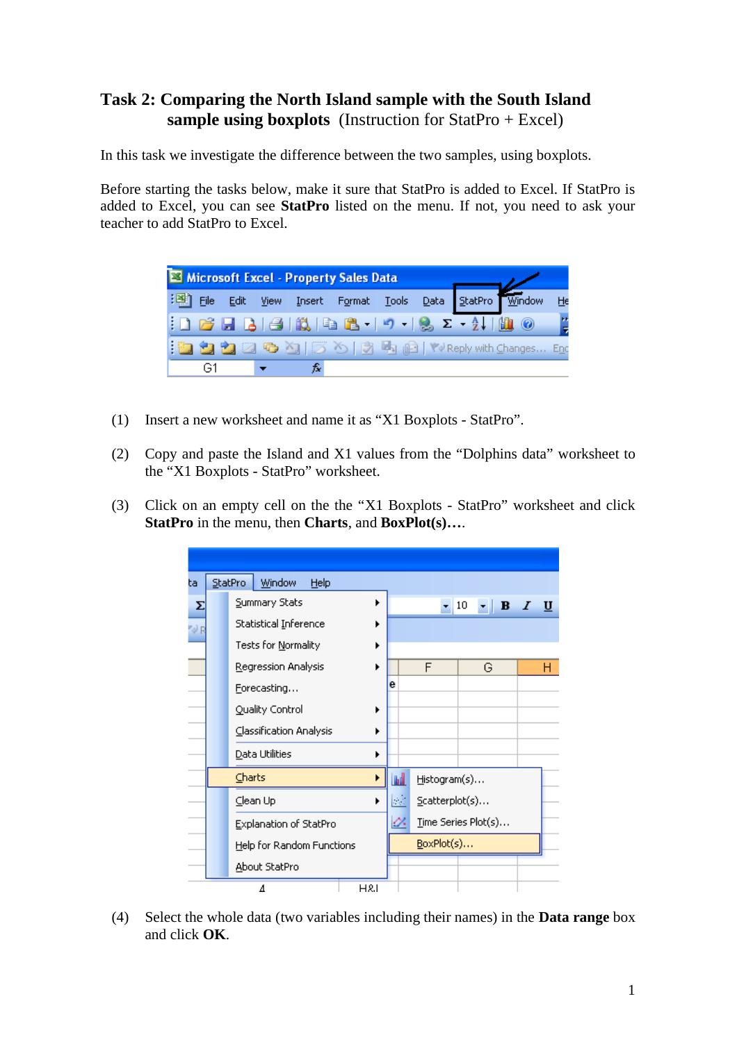## **Task 2: Comparing the North Island sample with the South Island sample using boxplots** (Instruction for StatPro + Excel)

In this task we investigate the difference between the two samples, using boxplots.

Before starting the tasks below, make it sure that StatPro is added to Excel. If StatPro is added to Excel, you can see **StatPro** listed on the menu. If not, you need to ask your teacher to add StatPro to Excel.



- (1) Insert a new worksheet and name it as "X1 Boxplots StatPro".
- (2) Copy and paste the Island and X1 values from the "Dolphins data" worksheet to the "X1 Boxplots - StatPro" worksheet.
- (3) Click on an empty cell on the the "X1 Boxplots StatPro" worksheet and click **StatPro** in the menu, then **Charts**, and **BoxPlot(s)…**.

| ta   | StatPro<br>Window<br>Help |   |  |  |  |   |   |                |   |                                 |       |  |              |           |  |   |   |  |  |
|------|---------------------------|---|--|--|--|---|---|----------------|---|---------------------------------|-------|--|--------------|-----------|--|---|---|--|--|
| Σ    | Summary Stats             |   |  |  |  |   | ▶ |                |   |                                 | $-10$ |  |              | $\cdot$ B |  | Ι | U |  |  |
| "√ F | Statistical Inference     |   |  |  |  |   |   | ▶              |   |                                 |       |  |              |           |  |   |   |  |  |
|      | Tests for Normality       |   |  |  |  |   | ▶ |                |   |                                 |       |  |              |           |  |   |   |  |  |
|      | Regression Analysis       |   |  |  |  |   | ▶ |                |   | F                               |       |  | G            |           |  |   | н |  |  |
|      | Forecasting               |   |  |  |  |   |   | e              |   |                                 |       |  |              |           |  |   |   |  |  |
|      | Quality Control           |   |  |  |  |   | ▶ |                |   |                                 |       |  |              |           |  |   |   |  |  |
|      | Classification Analysis   |   |  |  |  |   | ١ |                |   |                                 |       |  |              |           |  |   |   |  |  |
|      | Data Utilities            |   |  |  |  |   |   |                |   |                                 |       |  |              |           |  |   |   |  |  |
|      | Charts                    |   |  |  |  |   |   |                |   | hd                              |       |  | Histogram(s) |           |  |   |   |  |  |
|      | $\subseteq$ lean Up       |   |  |  |  | ▶ |   | ДC.            |   | $\mathsf{Scatterplot}(s) \dots$ |       |  |              |           |  |   |   |  |  |
|      | Explanation of StatPro    |   |  |  |  |   |   |                | ⇙ | Time Series Plot(s)             |       |  |              |           |  |   |   |  |  |
|      | Help for Random Functions |   |  |  |  |   |   |                |   | BoxPlot(s)                      |       |  |              |           |  |   |   |  |  |
|      | About StatPro             |   |  |  |  |   |   |                |   |                                 |       |  |              |           |  |   |   |  |  |
|      |                           | Δ |  |  |  |   |   | <b>H&amp;I</b> |   |                                 |       |  |              |           |  |   |   |  |  |

(4) Select the whole data (two variables including their names) in the **Data range** box and click **OK**.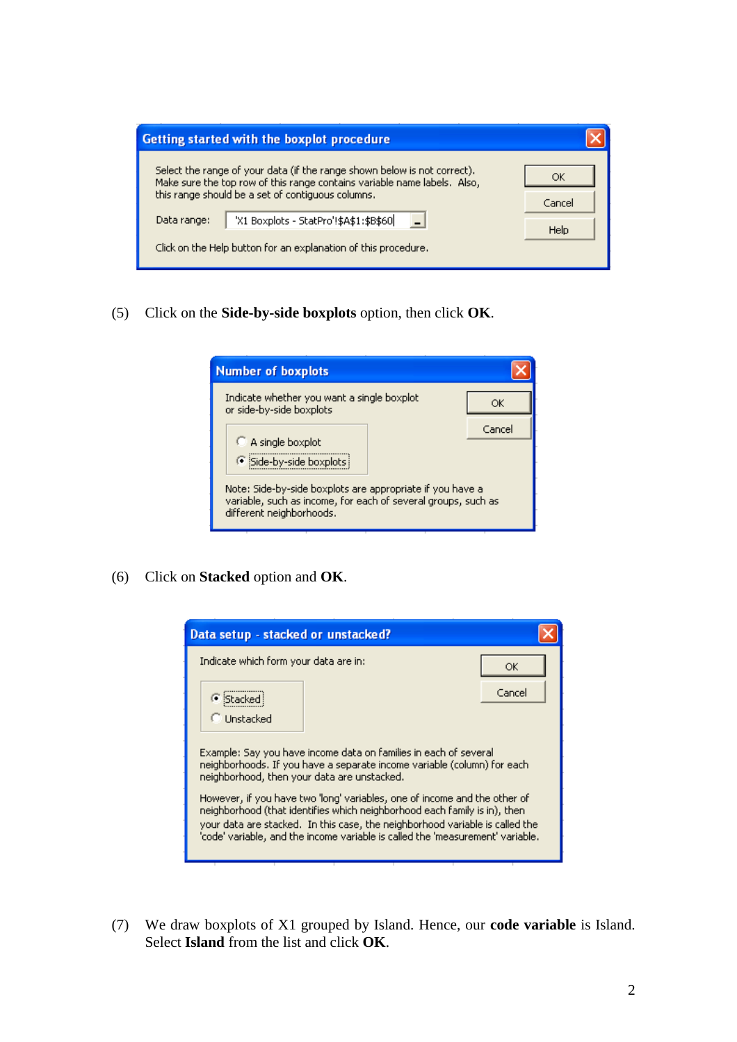| Getting started with the boxplot procedure                                                                                                           |        |
|------------------------------------------------------------------------------------------------------------------------------------------------------|--------|
| Select the range of your data (if the range shown below is not correct).<br>Make sure the top row of this range contains variable name labels. Also, | ОК     |
| this range should be a set of contiguous columns.                                                                                                    | Cancel |
| 'X1 Boxplots - StatPro'!\$A\$1:\$B\$60<br>Data range:                                                                                                | Help   |
| Click on the Help button for an explanation of this procedure.                                                                                       |        |

(5) Click on the **Side-by-side boxplots** option, then click **OK**.

| <b>Number of boxplots</b>                                                                                                                              |        |  |  |  |  |  |
|--------------------------------------------------------------------------------------------------------------------------------------------------------|--------|--|--|--|--|--|
| Indicate whether you want a single boxplot<br>or side-by-side boxplots                                                                                 | ОK     |  |  |  |  |  |
| A single boxplot<br>G Side-by-side boxplots                                                                                                            | Cancel |  |  |  |  |  |
| Note: Side-by-side boxplots are appropriate if you have a<br>variable, such as income, for each of several groups, such as<br>different neighborhoods. |        |  |  |  |  |  |

(6) Click on **Stacked** option and **OK**.

| Data setup - stacked or unstacked?                                                                                                                                                                                                                                                                                       |        |  |  |  |  |  |  |
|--------------------------------------------------------------------------------------------------------------------------------------------------------------------------------------------------------------------------------------------------------------------------------------------------------------------------|--------|--|--|--|--|--|--|
| Indicate which form your data are in:                                                                                                                                                                                                                                                                                    | ОК     |  |  |  |  |  |  |
| G Stacked                                                                                                                                                                                                                                                                                                                | Cancel |  |  |  |  |  |  |
| Unstacked                                                                                                                                                                                                                                                                                                                |        |  |  |  |  |  |  |
| Example: Say you have income data on families in each of several<br>neighborhoods. If you have a separate income variable (column) for each<br>neighborhood, then your data are unstacked.                                                                                                                               |        |  |  |  |  |  |  |
| However, if you have two 'long' variables, one of income and the other of<br>neighborhood (that identifies which neighborhood each family is in), then<br>your data are stacked. In this case, the neighborhood variable is called the<br>'code' variable, and the income variable is called the 'measurement' variable. |        |  |  |  |  |  |  |

(7) We draw boxplots of X1 grouped by Island. Hence, our **code variable** is Island. Select **Island** from the list and click **OK**.